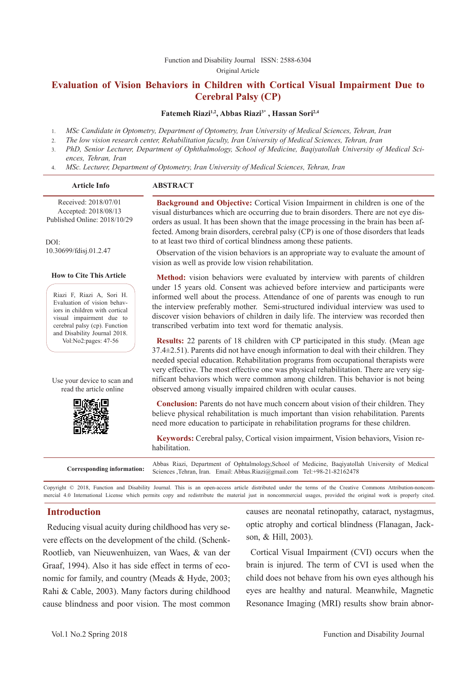#### [Function and Disability Journal ISSN: 2588-6304](http://fdj.iums.ac.ir/index.php?&slct_pg_id=10&sid=1&slc_lang=en)  Original Article

# **Evaluation of Vision Behaviors in Children with Cortical Visual Impairment Due to Cerebral Palsy (CP)**

#### Fatemeh Riazi<sup>1,2</sup>, Abbas Riazi<sup>3\*</sup>, Hassan Sori<sup>2,4</sup>

- 1. *MSc Candidate in Optometry, Department of Optometry, Iran University of Medical Sciences, Tehran, Iran*
- 2. *The low vision research center, Rehabilitation faculty, Iran University of Medical Sciences, Tehran, Iran*
- 3. *PhD, Senior Lecturer, Department of Ophthalmology, School of Medicine, Baqiyatollah University of Medical Sciences, Tehran, Iran*
- 4. *MSc. Lecturer, Department of Optometry, Iran University of Medical Sciences, Tehran, Iran*

#### **Article Info ABSTRACT**

Received: 2018/07/01 Accepted: 2018/08/13 Published Online: 2018/10/29

 $DOI<sup>1</sup>$ 10.30699/fdisj.01.2.47

#### **How to Cite This Article**

Riazi F, Riazi A, Sori H. Evaluation of vision behaviors in children with cortical visual impairment due to cerebral palsy (cp). Function and Disability Journal 2018. Vol:No2:pages: 47-56

Use your device to scan and read the article online



**Background and Objective:** Cortical Vision Impairment in children is one of the visual disturbances which are occurring due to brain disorders. There are not eye disorders as usual. It has been shown that the image processing in the brain has been affected. Among brain disorders, cerebral palsy (CP) is one of those disorders that leads to at least two third of cortical blindness among these patients.

Observation of the vision behaviors is an appropriate way to evaluate the amount of vision as well as provide low vision rehabilitation.

**Method:** vision behaviors were evaluated by interview with parents of children under 15 years old. Consent was achieved before interview and participants were informed well about the process. Attendance of one of parents was enough to run the interview preferably mother. Semi-structured individual interview was used to discover vision behaviors of children in daily life. The interview was recorded then transcribed verbatim into text word for thematic analysis.

**Results:** 22 parents of 18 children with CP participated in this study. (Mean age  $37.4\pm2.51$ ). Parents did not have enough information to deal with their children. They needed special education. Rehabilitation programs from occupational therapists were very effective. The most effective one was physical rehabilitation. There are very significant behaviors which were common among children. This behavior is not being observed among visually impaired children with ocular causes.

**Conclusion:** Parents do not have much concern about vision of their children. They believe physical rehabilitation is much important than vision rehabilitation. Parents need more education to participate in rehabilitation programs for these children.

**Keywords:** Cerebral palsy, Cortical vision impairment, Vision behaviors, Vision rehabilitation.

**Corresponding information:** Abbas Riazi, Department of Ophtalmology,School of Medicine, Baqiyatollah University of Medical Sciences ,Tehran, Iran. Email: Abbas.Riazi@gmail.com Tel:+98-21-82162478

Copyright © 2018, Function and Disability Journal. This is an open-access article distributed under the terms of the Creative Commons Attribution-noncommercial 4.0 International License which permits copy and redistribute the material just in noncommercial usages, provided the original work is properly cited.

#### **Introduction**

Reducing visual acuity during childhood has very severe effects on the development of the child. (Schenk-Rootlieb, van Nieuwenhuizen, van Waes, & van der Graaf, 1994). Also it has side effect in terms of economic for family, and country (Meads & Hyde, 2003; Rahi & Cable, 2003). Many factors during childhood cause blindness and poor vision. The most common causes are neonatal retinopathy, cataract, nystagmus, optic atrophy and cortical blindness (Flanagan, Jackson, & Hill, 2003).

Cortical Visual Impairment (CVI) occurs when the brain is injured. The term of CVI is used when the child does not behave from his own eyes although his eyes are healthy and natural. Meanwhile, Magnetic Resonance Imaging (MRI) results show brain abnor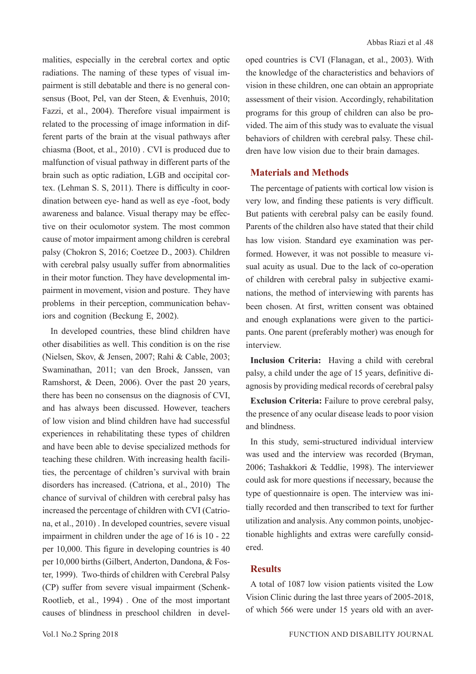malities, especially in the cerebral cortex and optic radiations. The naming of these types of visual impairment is still debatable and there is no general consensus (Boot, Pel, van der Steen, & Evenhuis, 2010; Fazzi, et al., 2004). Therefore visual impairment is related to the processing of image information in different parts of the brain at the visual pathways after chiasma (Boot, et al., 2010) . CVI is produced due to malfunction of visual pathway in different parts of the brain such as optic radiation, LGB and occipital cortex. (Lehman S. S, 2011). There is difficulty in coordination between eye- hand as well as eye -foot, body awareness and balance. Visual therapy may be effective on their oculomotor system. The most common cause of motor impairment among children is cerebral palsy (Chokron S, 2016; Coetzee D., 2003). Children with cerebral palsy usually suffer from abnormalities in their motor function. They have developmental impairment in movement, vision and posture. They have problems in their perception, communication behaviors and cognition (Beckung E, 2002).

 In developed countries, these blind children have other disabilities as well. This condition is on the rise (Nielsen, Skov, & Jensen, 2007; Rahi & Cable, 2003; Swaminathan, 2011; van den Broek, Janssen, van Ramshorst, & Deen, 2006). Over the past 20 years, there has been no consensus on the diagnosis of CVI, and has always been discussed. However, teachers of low vision and blind children have had successful experiences in rehabilitating these types of children and have been able to devise specialized methods for teaching these children. With increasing health facilities, the percentage of children's survival with brain disorders has increased. (Catriona, et al., 2010) The chance of survival of children with cerebral palsy has increased the percentage of children with CVI (Catriona, et al., 2010) . In developed countries, severe visual impairment in children under the age of 16 is 10 - 22 per 10,000. This figure in developing countries is 40 per 10,000 births (Gilbert, Anderton, Dandona, & Foster, 1999). Two-thirds of children with Cerebral Palsy (CP) suffer from severe visual impairment (Schenk-Rootlieb, et al., 1994) . One of the most important causes of blindness in preschool children in developed countries is CVI (Flanagan, et al., 2003). With the knowledge of the characteristics and behaviors of vision in these children, one can obtain an appropriate assessment of their vision. Accordingly, rehabilitation programs for this group of children can also be provided. The aim of this study was to evaluate the visual behaviors of children with cerebral palsy. These children have low vision due to their brain damages.

#### **Materials and Methods**

The percentage of patients with cortical low vision is very low, and finding these patients is very difficult. But patients with cerebral palsy can be easily found. Parents of the children also have stated that their child has low vision. Standard eye examination was performed. However, it was not possible to measure visual acuity as usual. Due to the lack of co-operation of children with cerebral palsy in subjective examinations, the method of interviewing with parents has been chosen. At first, written consent was obtained and enough explanations were given to the participants. One parent (preferably mother) was enough for interview.

**Inclusion Criteria:** Having a child with cerebral palsy, a child under the age of 15 years, definitive diagnosis by providing medical records of cerebral palsy

**Exclusion Criteria:** Failure to prove cerebral palsy, the presence of any ocular disease leads to poor vision and blindness.

In this study, semi-structured individual interview was used and the interview was recorded (Bryman, 2006; Tashakkori & Teddlie, 1998). The interviewer could ask for more questions if necessary, because the type of questionnaire is open. The interview was initially recorded and then transcribed to text for further utilization and analysis. Any common points, unobjectionable highlights and extras were carefully considered.

#### **Results**

A total of 1087 low vision patients visited the Low Vision Clinic during the last three years of 2005-2018, of which 566 were under 15 years old with an aver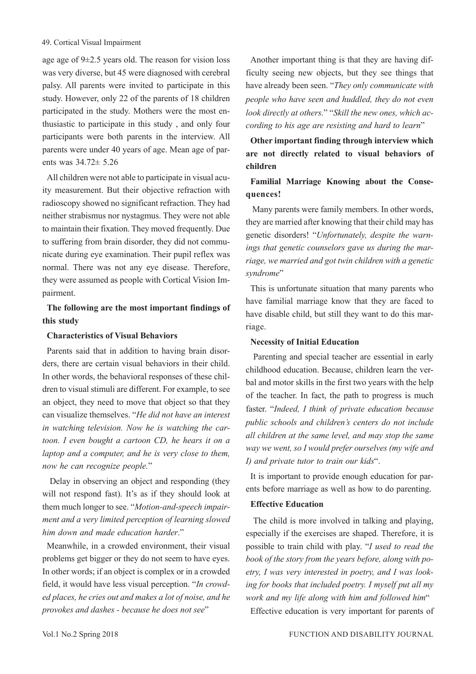age age of 9±2.5 years old. The reason for vision loss was very diverse, but 45 were diagnosed with cerebral palsy. All parents were invited to participate in this study. However, only 22 of the parents of 18 children participated in the study. Mothers were the most enthusiastic to participate in this study , and only four participants were both parents in the interview. All parents were under 40 years of age. Mean age of parents was 34.72± 5.26

All children were not able to participate in visual acuity measurement. But their objective refraction with radioscopy showed no significant refraction. They had neither strabismus nor nystagmus. They were not able to maintain their fixation. They moved frequently. Due to suffering from brain disorder, they did not communicate during eye examination. Their pupil reflex was normal. There was not any eye disease. Therefore, they were assumed as people with Cortical Vision Impairment.

# **The following are the most important findings of this study**

#### **Characteristics of Visual Behaviors**

Parents said that in addition to having brain disorders, there are certain visual behaviors in their child. In other words, the behavioral responses of these children to visual stimuli are different. For example, to see an object, they need to move that object so that they can visualize themselves. "*He did not have an interest in watching television. Now he is watching the cartoon. I even bought a cartoon CD, he hears it on a laptop and a computer, and he is very close to them, now he can recognize people.*"

 Delay in observing an object and responding (they will not respond fast). It's as if they should look at them much longer to see. "*Motion-and-speech impairment and a very limited perception of learning slowed him down and made education harder*."

Meanwhile, in a crowded environment, their visual problems get bigger or they do not seem to have eyes. In other words; if an object is complex or in a crowded field, it would have less visual perception. "*In crowded places, he cries out and makes a lot of noise, and he provokes and dashes - because he does not see*"

Another important thing is that they are having difficulty seeing new objects, but they see things that have already been seen. "*They only communicate with people who have seen and huddled, they do not even look directly at others.*" "*Skill the new ones, which according to his age are resisting and hard to learn*"

# **Other important finding through interview which are not directly related to visual behaviors of children**

# **Familial Marriage Knowing about the Consequences!**

 Many parents were family members. In other words, they are married after knowing that their child may has genetic disorders! "*Unfortunately, despite the warnings that genetic counselors gave us during the marriage, we married and got twin children with a genetic syndrome*"

This is unfortunate situation that many parents who have familial marriage know that they are faced to have disable child, but still they want to do this marriage.

#### **Necessity of Initial Education**

 Parenting and special teacher are essential in early childhood education. Because, children learn the verbal and motor skills in the first two years with the help of the teacher. In fact, the path to progress is much faster. "*Indeed, I think of private education because public schools and children's centers do not include all children at the same level, and may stop the same way we went, so I would prefer ourselves (my wife and I) and private tutor to train our kids*".

It is important to provide enough education for parents before marriage as well as how to do parenting.

## **Effective Education**

 The child is more involved in talking and playing, especially if the exercises are shaped. Therefore, it is possible to train child with play. "*I used to read the book of the story from the years before, along with poetry, I was very interested in poetry, and I was looking for books that included poetry. I myself put all my work and my life along with him and followed him*"

Effective education is very important for parents of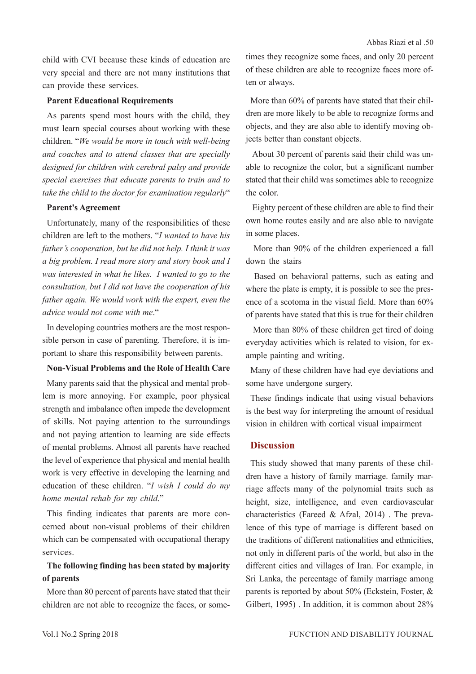child with CVI because these kinds of education are very special and there are not many institutions that can provide these services.

#### **Parent Educational Requirements**

As parents spend most hours with the child, they must learn special courses about working with these children. "*We would be more in touch with well-being and coaches and to attend classes that are specially designed for children with cerebral palsy and provide special exercises that educate parents to train and to take the child to the doctor for examination regularly*"

#### **Parent's Agreement**

Unfortunately, many of the responsibilities of these children are left to the mothers. "*I wanted to have his father's cooperation, but he did not help. I think it was a big problem. I read more story and story book and I was interested in what he likes. I wanted to go to the consultation, but I did not have the cooperation of his father again. We would work with the expert, even the advice would not come with me*."

In developing countries mothers are the most responsible person in case of parenting. Therefore, it is important to share this responsibility between parents.

#### **Non-Visual Problems and the Role of Health Care**

Many parents said that the physical and mental problem is more annoying. For example, poor physical strength and imbalance often impede the development of skills. Not paying attention to the surroundings and not paying attention to learning are side effects of mental problems. Almost all parents have reached the level of experience that physical and mental health work is very effective in developing the learning and education of these children. "*I wish I could do my home mental rehab for my child*."

This finding indicates that parents are more concerned about non-visual problems of their children which can be compensated with occupational therapy services.

# **The following finding has been stated by majority of parents**

More than 80 percent of parents have stated that their children are not able to recognize the faces, or sometimes they recognize some faces, and only 20 percent of these children are able to recognize faces more often or always.

More than 60% of parents have stated that their children are more likely to be able to recognize forms and objects, and they are also able to identify moving objects better than constant objects.

 About 30 percent of parents said their child was unable to recognize the color, but a significant number stated that their child was sometimes able to recognize the color.

 Eighty percent of these children are able to find their own home routes easily and are also able to navigate in some places.

 More than 90% of the children experienced a fall down the stairs

 Based on behavioral patterns, such as eating and where the plate is empty, it is possible to see the presence of a scotoma in the visual field. More than 60% of parents have stated that this is true for their children

 More than 80% of these children get tired of doing everyday activities which is related to vision, for example painting and writing.

Many of these children have had eye deviations and some have undergone surgery.

These findings indicate that using visual behaviors is the best way for interpreting the amount of residual vision in children with cortical visual impairment

#### **Discussion**

This study showed that many parents of these children have a history of family marriage. family marriage affects many of the polynomial traits such as height, size, intelligence, and even cardiovascular characteristics (Fareed & Afzal, 2014) . The prevalence of this type of marriage is different based on the traditions of different nationalities and ethnicities, not only in different parts of the world, but also in the different cities and villages of Iran. For example, in Sri Lanka, the percentage of family marriage among parents is reported by about 50% (Eckstein, Foster, & Gilbert, 1995) . In addition, it is common about 28%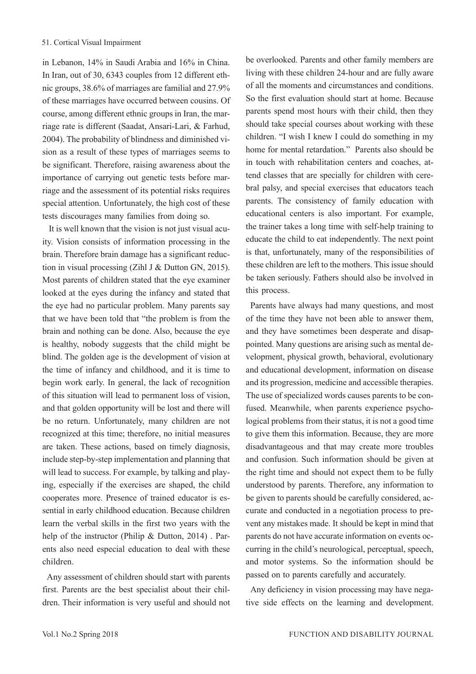in Lebanon, 14% in Saudi Arabia and 16% in China. In Iran, out of 30, 6343 couples from 12 different ethnic groups, 38.6% of marriages are familial and 27.9% of these marriages have occurred between cousins. Of course, among different ethnic groups in Iran, the marriage rate is different (Saadat, Ansari-Lari, & Farhud, 2004). The probability of blindness and diminished vision as a result of these types of marriages seems to be significant. Therefore, raising awareness about the importance of carrying out genetic tests before marriage and the assessment of its potential risks requires special attention. Unfortunately, the high cost of these tests discourages many families from doing so.

 It is well known that the vision is not just visual acuity. Vision consists of information processing in the brain. Therefore brain damage has a significant reduction in visual processing (Zihl J & Dutton GN, 2015). Most parents of children stated that the eye examiner looked at the eyes during the infancy and stated that the eye had no particular problem. Many parents say that we have been told that "the problem is from the brain and nothing can be done. Also, because the eye is healthy, nobody suggests that the child might be blind. The golden age is the development of vision at the time of infancy and childhood, and it is time to begin work early. In general, the lack of recognition of this situation will lead to permanent loss of vision, and that golden opportunity will be lost and there will be no return. Unfortunately, many children are not recognized at this time; therefore, no initial measures are taken. These actions, based on timely diagnosis, include step-by-step implementation and planning that will lead to success. For example, by talking and playing, especially if the exercises are shaped, the child cooperates more. Presence of trained educator is essential in early childhood education. Because children learn the verbal skills in the first two years with the help of the instructor (Philip & Dutton, 2014) . Parents also need especial education to deal with these children.

Any assessment of children should start with parents first. Parents are the best specialist about their children. Their information is very useful and should not be overlooked. Parents and other family members are living with these children 24-hour and are fully aware of all the moments and circumstances and conditions. So the first evaluation should start at home. Because parents spend most hours with their child, then they should take special courses about working with these children. "I wish I knew I could do something in my home for mental retardation." Parents also should be in touch with rehabilitation centers and coaches, attend classes that are specially for children with cerebral palsy, and special exercises that educators teach parents. The consistency of family education with educational centers is also important. For example, the trainer takes a long time with self-help training to educate the child to eat independently. The next point is that, unfortunately, many of the responsibilities of these children are left to the mothers. This issue should be taken seriously. Fathers should also be involved in this process.

Parents have always had many questions, and most of the time they have not been able to answer them, and they have sometimes been desperate and disappointed. Many questions are arising such as mental development, physical growth, behavioral, evolutionary and educational development, information on disease and its progression, medicine and accessible therapies. The use of specialized words causes parents to be confused. Meanwhile, when parents experience psychological problems from their status, it is not a good time to give them this information. Because, they are more disadvantageous and that may create more troubles and confusion. Such information should be given at the right time and should not expect them to be fully understood by parents. Therefore, any information to be given to parents should be carefully considered, accurate and conducted in a negotiation process to prevent any mistakes made. It should be kept in mind that parents do not have accurate information on events occurring in the child's neurological, perceptual, speech, and motor systems. So the information should be passed on to parents carefully and accurately.

Any deficiency in vision processing may have negative side effects on the learning and development.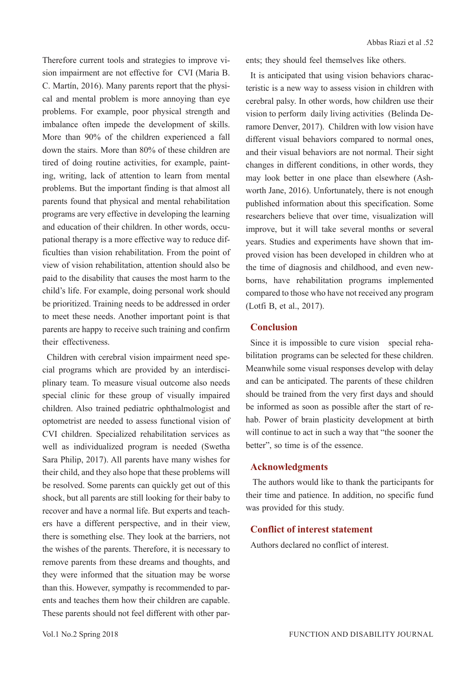Abbas Riazi et al .52

Therefore current tools and strategies to improve vision impairment are not effective for CVI (Maria B. C. Martín, 2016). Many parents report that the physical and mental problem is more annoying than eye problems. For example, poor physical strength and imbalance often impede the development of skills. More than 90% of the children experienced a fall down the stairs. More than 80% of these children are tired of doing routine activities, for example, painting, writing, lack of attention to learn from mental problems. But the important finding is that almost all parents found that physical and mental rehabilitation programs are very effective in developing the learning and education of their children. In other words, occupational therapy is a more effective way to reduce difficulties than vision rehabilitation. From the point of view of vision rehabilitation, attention should also be paid to the disability that causes the most harm to the child's life. For example, doing personal work should be prioritized. Training needs to be addressed in order to meet these needs. Another important point is that parents are happy to receive such training and confirm their effectiveness.

Children with cerebral vision impairment need special programs which are provided by an interdisciplinary team. To measure visual outcome also needs special clinic for these group of visually impaired children. Also trained pediatric ophthalmologist and optometrist are needed to assess functional vision of CVI children. Specialized rehabilitation services as well as individualized program is needed (Swetha Sara Philip, 2017). All parents have many wishes for their child, and they also hope that these problems will be resolved. Some parents can quickly get out of this shock, but all parents are still looking for their baby to recover and have a normal life. But experts and teachers have a different perspective, and in their view, there is something else. They look at the barriers, not the wishes of the parents. Therefore, it is necessary to remove parents from these dreams and thoughts, and they were informed that the situation may be worse than this. However, sympathy is recommended to parents and teaches them how their children are capable. These parents should not feel different with other par-

It is anticipated that using vision behaviors characteristic is a new way to assess vision in children with cerebral palsy. In other words, how children use their vision to perform daily living activities (Belinda Deramore Denver, 2017). Children with low vision have different visual behaviors compared to normal ones, and their visual behaviors are not normal. Their sight changes in different conditions, in other words, they may look better in one place than elsewhere (Ashworth Jane, 2016). Unfortunately, there is not enough published information about this specification. Some researchers believe that over time, visualization will improve, but it will take several months or several years. Studies and experiments have shown that improved vision has been developed in children who at the time of diagnosis and childhood, and even newborns, have rehabilitation programs implemented compared to those who have not received any program (Lotfi B, et al., 2017).

#### **Conclusion**

Since it is impossible to cure vision special rehabilitation programs can be selected for these children. Meanwhile some visual responses develop with delay and can be anticipated. The parents of these children should be trained from the very first days and should be informed as soon as possible after the start of rehab. Power of brain plasticity development at birth will continue to act in such a way that "the sooner the better", so time is of the essence.

#### **Acknowledgments**

 The authors would like to thank the participants for their time and patience. In addition, no specific fund was provided for this study.

## **Conflict of interest statement**

Authors declared no conflict of interest.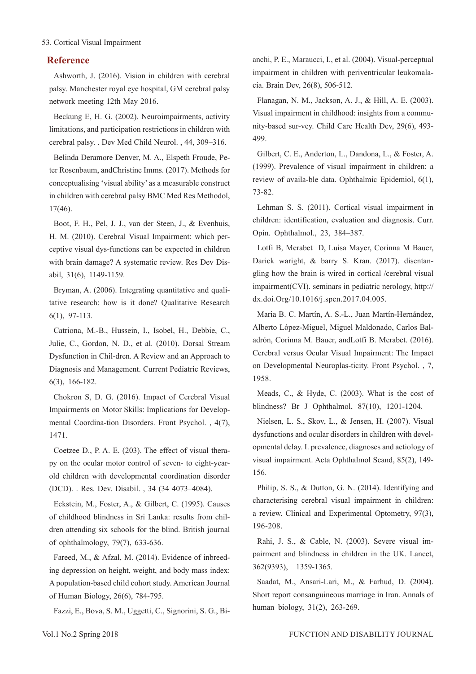#### 53. Cortical Visual Impairment

#### **Reference**

Ashworth, J. (2016). Vision in children with cerebral palsy. Manchester royal eye hospital, GM cerebral palsy network meeting 12th May 2016.

Beckung E, H. G. (2002). Neuroimpairments, activity limitations, and participation restrictions in children with cerebral palsy. . Dev Med Child Neurol. , 44, 309–316.

Belinda Deramore Denver, M. A., Elspeth Froude, Peter Rosenbaum, andChristine Imms. (2017). Methods for conceptualising 'visual ability' as a measurable construct in children with cerebral palsy BMC Med Res Methodol, 17(46).

Boot, F. H., Pel, J. J., van der Steen, J., & Evenhuis, H. M. (2010). Cerebral Visual Impairment: which perceptive visual dys-functions can be expected in children with brain damage? A systematic review. Res Dev Disabil, 31(6), 1149-1159.

Bryman, A. (2006). Integrating quantitative and qualitative research: how is it done? Qualitative Research 6(1), 97-113.

Catriona, M.-B., Hussein, I., Isobel, H., Debbie, C., Julie, C., Gordon, N. D., et al. (2010). Dorsal Stream Dysfunction in Chil-dren. A Review and an Approach to Diagnosis and Management. Current Pediatric Reviews, 6(3), 166-182.

Chokron S, D. G. (2016). Impact of Cerebral Visual Impairments on Motor Skills: Implications for Developmental Coordina-tion Disorders. Front Psychol. , 4(7), 1471.

Coetzee D., P. A. E. (203). The effect of visual therapy on the ocular motor control of seven- to eight-yearold children with developmental coordination disorder (DCD). . Res. Dev. Disabil. , 34 (34 4073–4084).

Eckstein, M., Foster, A., & Gilbert, C. (1995). Causes of childhood blindness in Sri Lanka: results from children attending six schools for the blind. British journal of ophthalmology, 79(7), 633-636.

Fareed, M., & Afzal, M. (2014). Evidence of inbreeding depression on height, weight, and body mass index: A population‐based child cohort study. American Journal of Human Biology, 26(6), 784-795.

Fazzi, E., Bova, S. M., Uggetti, C., Signorini, S. G., Bi-

anchi, P. E., Maraucci, I., et al. (2004). Visual-perceptual impairment in children with periventricular leukomalacia. Brain Dev, 26(8), 506-512.

Flanagan, N. M., Jackson, A. J., & Hill, A. E. (2003). Visual impairment in childhood: insights from a community-based sur-vey. Child Care Health Dev, 29(6), 493- 499.

Gilbert, C. E., Anderton, L., Dandona, L., & Foster, A. (1999). Prevalence of visual impairment in children: a review of availa-ble data. Ophthalmic Epidemiol, 6(1), 73-82.

Lehman S. S. (2011). Cortical visual impairment in children: identification, evaluation and diagnosis. Curr. Opin. Ophthalmol., 23, 384–387.

Lotfi B, Merabet D, Luisa Mayer, Corinna M Bauer, Darick waright, & barry S. Kran. (2017). disentangling how the brain is wired in cortical /cerebral visual impairment(CVI). seminars in pediatric nerology, http:// dx.doi.Org/10.1016/j.spen.2017.04.005.

Maria B. C. Martín, A. S.-L., Juan Martín-Hernández, Alberto López-Miguel, Miguel Maldonado, Carlos Baladrón, Corinna M. Bauer, andLotfi B. Merabet. (2016). Cerebral versus Ocular Visual Impairment: The Impact on Developmental Neuroplas-ticity. Front Psychol. , 7, 1958.

Meads, C., & Hyde, C. (2003). What is the cost of blindness? Br J Ophthalmol, 87(10), 1201-1204.

Nielsen, L. S., Skov, L., & Jensen, H. (2007). Visual dysfunctions and ocular disorders in children with developmental delay. I. prevalence, diagnoses and aetiology of visual impairment. Acta Ophthalmol Scand, 85(2), 149- 156.

Philip, S. S., & Dutton, G. N. (2014). Identifying and characterising cerebral visual impairment in children: a review. Clinical and Experimental Optometry, 97(3), 196-208.

Rahi, J. S., & Cable, N. (2003). Severe visual impairment and blindness in children in the UK. Lancet, 362(9393), 1359-1365.

Saadat, M., Ansari-Lari, M., & Farhud, D. (2004). Short report consanguineous marriage in Iran. Annals of human biology, 31(2), 263-269.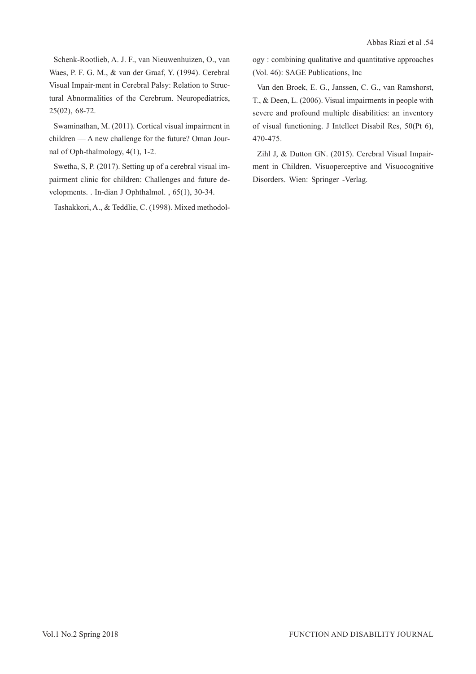Schenk-Rootlieb, A. J. F., van Nieuwenhuizen, O., van Waes, P. F. G. M., & van der Graaf, Y. (1994). Cerebral Visual Impair-ment in Cerebral Palsy: Relation to Structural Abnormalities of the Cerebrum. Neuropediatrics, 25(02), 68-72.

Swaminathan, M. (2011). Cortical visual impairment in children — A new challenge for the future? Oman Journal of Oph-thalmology, 4(1), 1-2.

Swetha, S, P. (2017). Setting up of a cerebral visual impairment clinic for children: Challenges and future developments. . In-dian J Ophthalmol. , 65(1), 30-34.

Tashakkori, A., & Teddlie, C. (1998). Mixed methodol-

ogy : combining qualitative and quantitative approaches (Vol. 46): SAGE Publications, Inc

Van den Broek, E. G., Janssen, C. G., van Ramshorst, T., & Deen, L. (2006). Visual impairments in people with severe and profound multiple disabilities: an inventory of visual functioning. J Intellect Disabil Res, 50(Pt 6), 470-475.

Zihl J, & Dutton GN. (2015). Cerebral Visual Impairment in Children. Visuoperceptive and Visuocognitive Disorders. Wien: Springer -Verlag.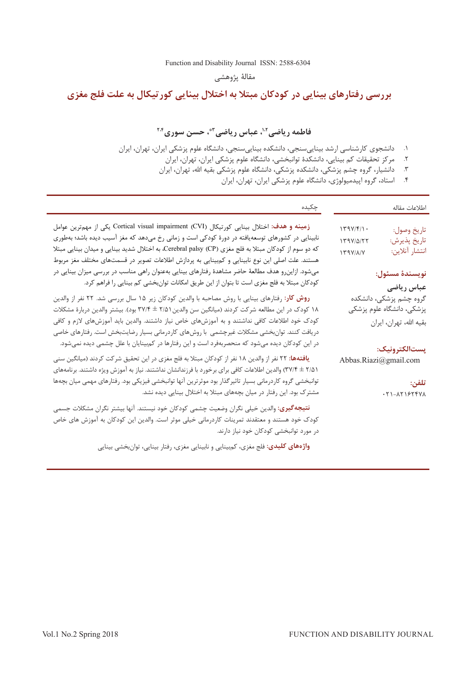[Function and Disability Journal ISSN: 2588-6304](http://fdj.iums.ac.ir/index.php?&slct_pg_id=10&sid=1&slc_lang=en) 

مقالۀ پژوهشی

# **بررسی رفتارهای بینایی در کودکان مبتال به اختالل بینایی کورتیکال به علت فلج مغزی**

# فاطمه ریاضی<sup>۱،۲</sup>، عباس ریاضی <sup>۳</sup>ٌ، حسن سوری<sup>۲۰۴</sup>

- ۱. دانشجوی کارشناسی ارشد بینايیسنجی، دانشکده بینايیسنجی، دانشگاه علوم پزشکی ايران، تهران، ايران
	- . مرکز تحقیقات کم بینايی، دانشکدۀ توانبخشی، دانشگاه علوم پزشکی ايران، تهران، ايران<br>۲. مرکز تحقیقات کم بینايی، دانشکدۀ توانبخشی، دانشگاه علوم پزشکی ايران، تهران، ايران
	- ۲. دانشیار، گروه چشم پزشکی، دانشکده پزشکی، دانشگاه علوم پزشکی بقیه الله، تهران، ایران
		- ۴. استاد، گروه اپیدمیولوژی، دانشگاه علوم پزشکی ایران تهران، ایران

| چکیده                                                                                                                                                                                                                                                                                                                                                                                                                                                                                                                                                                                                    | اطلاعات مقاله                                                                                                                                                                                                                                                                                                                                                                                                                                                                                                                                                                                        |
|----------------------------------------------------------------------------------------------------------------------------------------------------------------------------------------------------------------------------------------------------------------------------------------------------------------------------------------------------------------------------------------------------------------------------------------------------------------------------------------------------------------------------------------------------------------------------------------------------------|------------------------------------------------------------------------------------------------------------------------------------------------------------------------------------------------------------------------------------------------------------------------------------------------------------------------------------------------------------------------------------------------------------------------------------------------------------------------------------------------------------------------------------------------------------------------------------------------------|
| زمینه و هدف: اختلال بینایی کورتیکال (Cortical visual impairment (CVI یکی از مهمترین عوامل<br>نابینایی در کشورهای توسعهیافته در دورهٔ کودکی است و زمانی رخ میدهد که مغز آسیب دیده باشد؛ بهطوری<br>که دو سوم از کودکان مبتلا به فلج مغزی (CP) Cerebral palsy، به اختلال شدید بینایی و میدان بینایی مبتلا<br>هستند. علت اصلی این نوع نابینایی و کمٖبینایی به پردازش اطلاعات تصویر در قسمتهای مختلف مغز مربوط<br>میشود. ازاین٫و هدف مطالعهٔ حاضر مشاهدهٔ رفتارهای بینایی بهعنوان راهی مناسب در بررسی میزان بینایی در                                                                                         | $\label{eq:1} \Upsilon \Upsilon \Upsilon \Upsilon / \Upsilon / \Gamma / \Gamma \ .$<br>تاريخ وصول:<br>$179V/\Delta/77$<br>تاريخ پذيرش:<br>انتشار آنلاين:<br>$\mathbf{1} \mathbf{1} \mathbf{1} \mathbf{1} \mathbf{1} \mathbf{1} \mathbf{1} \mathbf{1} \mathbf{1} \mathbf{1} \mathbf{1} \mathbf{1} \mathbf{1} \mathbf{1} \mathbf{1} \mathbf{1} \mathbf{1} \mathbf{1} \mathbf{1} \mathbf{1} \mathbf{1} \mathbf{1} \mathbf{1} \mathbf{1} \mathbf{1} \mathbf{1} \mathbf{1} \mathbf{1} \mathbf{1} \mathbf{1} \mathbf{1} \mathbf{1} \mathbf{1} \mathbf{1} \mathbf{1} \mathbf{1} \mathbf{$<br>نويسندة مسئول: |
| کودکان مبتلا به فلج مغزی است تا بتوان از این طریق امکانات توانبخشی کم بینایی را فراهم کرد.<br><b>روش کار</b> : رفتارهای بینایی با روش مصاحبه با والدین کودکان زیر ۱۵ سال بررسی شد. ۲۲ نفر از والدین<br>۱۸ کودک در این مطالعه شرکت کردند (میانگین سن والدین۲/۵۱ ± ۳۷/۴ بود). بیشتر والدین دربارهٔ مشکلات<br>کودک خود اطلاعات کافی نداشتند و به آموزشهای خاص نیاز داشتند. والدین باید آموزشهای لازم و کافی<br>دریافت کنند. توانبخشی مشکلات غیرچشمی با روشهای کاردرمانی بسیار رضایتبخش است. رفتارهای خاصی<br>در این کودکان دیده میشود که منحصربهفرد است و این رفتارها در کم.ینایان با علل چشمی دیده نمیشود. | عباس رياضي<br>گروه چشم پزشکی، دانشکده<br>پزشکی، دانشگاه علوم پزشکی<br>بقيه الله، تهران، ايران                                                                                                                                                                                                                                                                                                                                                                                                                                                                                                        |
| <b>یافتهها: ۲۲</b> نفر از والدین ۱۸ نفر از کودکان مبتلا به فلج مغزی در این تحقیق شرکت کردند (میانگین سنی<br>۲/۵۱ ± ۳۷/۴) والدین اطلاعات کافی برای برخورد با فرزندانشان نداشتند. نیاز به آموزش ویژه داشتند. برنامههای<br>توانبخشی گروه کاردرمانی بسیار تاثیرگذار بود موثرترین آنها توانبخشی فیزیکی بود. رفتارهای مهمی میان بچهها<br>مشترک بود. این رفتار در میان بچههای مبتلا به اختلال بینایی دیده نشد.                                                                                                                                                                                                  | پستالکترونیک:<br>Abbas.Riazi@gmail.com<br>تلفن:<br>· ٢١-٨٢١۶٢۴٧٨                                                                                                                                                                                                                                                                                                                                                                                                                                                                                                                                     |
| <b>نتیجهگیری:</b> والدین خیلی نگران وضعیت چشمی کودکان خود نیستند. آنها بیشتر نگران مشکلات جسمی<br>کودک خود هستند و معتقدند تمرینات کاردرمانی خیلی موثر است. والدین این کودکان به آموزش های خاص<br>در مورد توانبخشی کودکان خود نیاز دارند.                                                                                                                                                                                                                                                                                                                                                                |                                                                                                                                                                                                                                                                                                                                                                                                                                                                                                                                                                                                      |

و**اژههای کلیدی:** فلج مغزی، کم<sub>ا</sub>بینایی و نابینایی مغزی، رفتار بینایی، توانبخشی بینایی